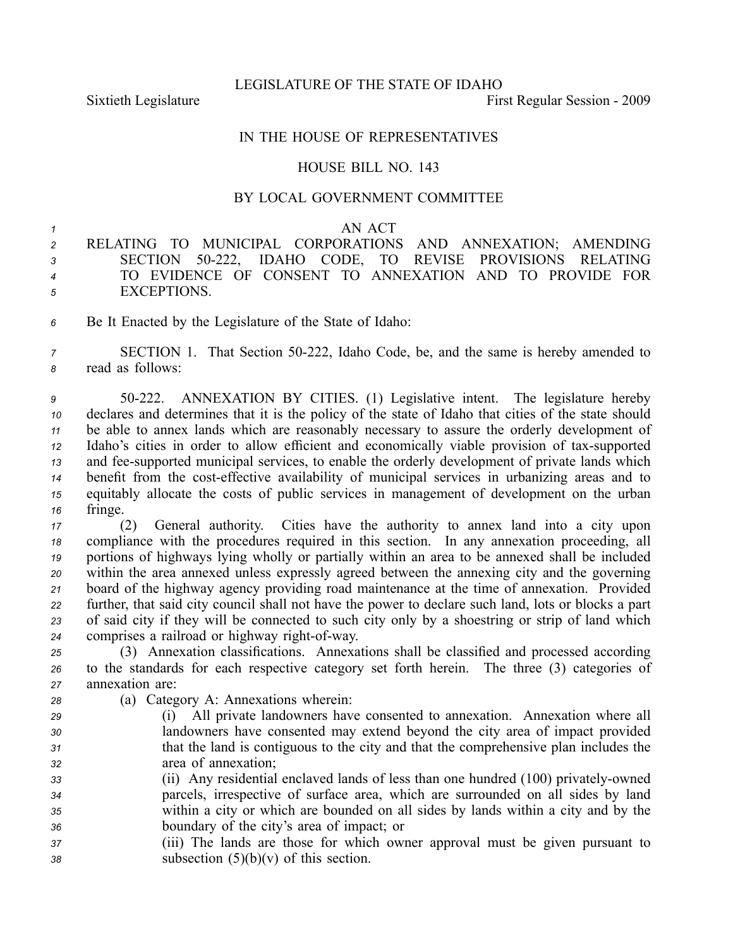LEGISLATURE OF THE STATE OF IDAHO

Sixtieth Legislature **First** Regular Session - 2009

## IN THE HOUSE OF REPRESENTATIVES

## HOUSE BILL NO. 143

## BY LOCAL GOVERNMENT COMMITTEE

## *<sup>1</sup>* AN ACT

 RELATING TO MUNICIPAL CORPORATIONS AND ANNEXATION; AMENDING SECTION 50222, IDAHO CODE, TO REVISE PROVISIONS RELATING TO EVIDENCE OF CONSENT TO ANNEXATION AND TO PROVIDE FOR EXCEPTIONS.

*<sup>6</sup>* Be It Enacted by the Legislature of the State of Idaho:

*<sup>7</sup>* SECTION 1. That Section 50222, Idaho Code, be, and the same is hereby amended to *<sup>8</sup>* read as follows:

 50222. ANNEXATION BY CITIES. (1) Legislative intent. The legislature hereby declares and determines that it is the policy of the state of Idaho that cities of the state should be able to annex lands which are reasonably necessary to assure the orderly development of 12 Idaho's cities in order to allow efficient and economically viable provision of tax-supported and feesupported municipal services, to enable the orderly development of private lands which 14 benefit from the cost-effective availability of municipal services in urbanizing areas and to equitably allocate the costs of public services in managemen<sup>t</sup> of development on the urban *<sup>16</sup>* fringe.

 (2) General authority. Cities have the authority to annex land into <sup>a</sup> city upon compliance with the procedures required in this section. In any annexation proceeding, all portions of highways lying wholly or partially within an area to be annexed shall be included within the area annexed unless expressly agreed between the annexing city and the governing board of the highway agency providing road maintenance at the time of annexation. Provided further, that said city council shall not have the power to declare such land, lots or blocks <sup>a</sup> par<sup>t</sup> of said city if they will be connected to such city only by <sup>a</sup> shoestring or strip of land which comprises a railroad or highway right-of-way.

*<sup>25</sup>* (3) Annexation classifications. Annexations shall be classified and processed according *<sup>26</sup>* to the standards for each respective category set forth herein. The three (3) categories of *<sup>27</sup>* annexation are:

- *<sup>28</sup>* (a) Category A: Annexations wherein:
- *<sup>29</sup>* (i) All private landowners have consented to annexation. Annexation where all *<sup>30</sup>* landowners have consented may extend beyond the city area of impact provided *<sup>31</sup>* that the land is contiguous to the city and that the comprehensive plan includes the *<sup>32</sup>* area of annexation;
- *33* (ii) Any residential enclaved lands of less than one hundred (100) privately-owned *<sup>34</sup>* parcels, irrespective of surface area, which are surrounded on all sides by land *<sup>35</sup>* within <sup>a</sup> city or which are bounded on all sides by lands within <sup>a</sup> city and by the *<sup>36</sup>* boundary of the city's area of impact; or
- *<sup>37</sup>* (iii) The lands are those for which owner approval must be given pursuan<sup>t</sup> to *<sup>38</sup>* subsection (5)(b)(v) of this section.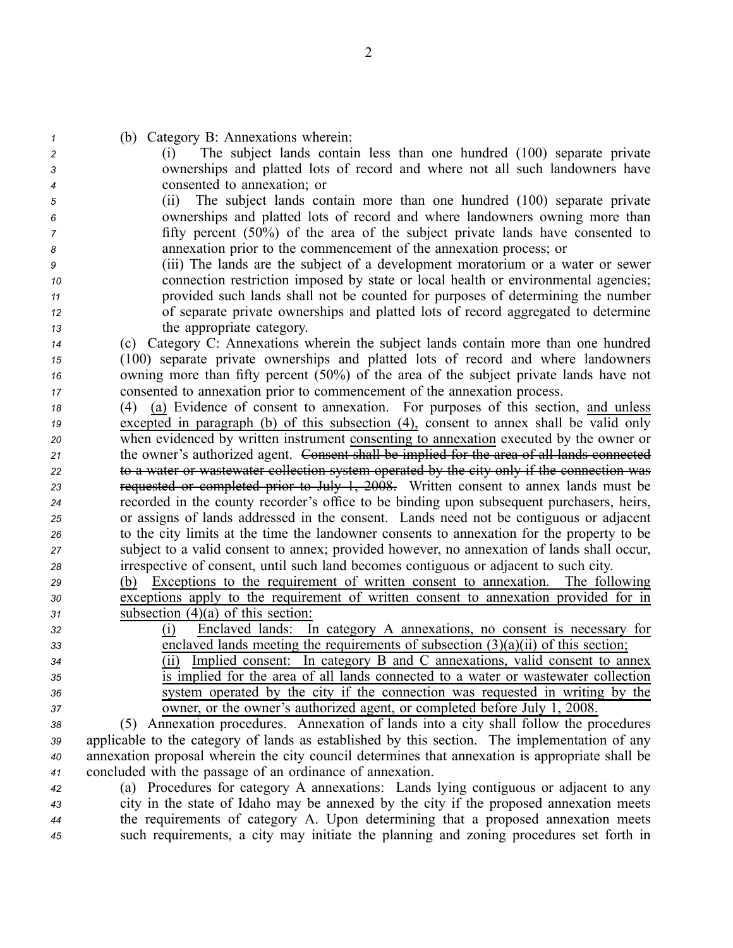| (b) Category B: Annexations wherein:                                                            |
|-------------------------------------------------------------------------------------------------|
| The subject lands contain less than one hundred (100) separate private<br>(1)                   |
| ownerships and platted lots of record and where not all such landowners have                    |
| consented to annexation; or                                                                     |
| The subject lands contain more than one hundred (100) separate private<br>(ii)                  |
| ownerships and platted lots of record and where landowners owning more than                     |
| fifty percent $(50\%)$ of the area of the subject private lands have consented to               |
| annexation prior to the commencement of the annexation process; or                              |
| (iii) The lands are the subject of a development moratorium or a water or sewer                 |
| connection restriction imposed by state or local health or environmental agencies;              |
| provided such lands shall not be counted for purposes of determining the number                 |
| of separate private ownerships and platted lots of record aggregated to determine               |
| the appropriate category.                                                                       |
| (c) Category C: Annexations wherein the subject lands contain more than one hundred             |
| (100) separate private ownerships and platted lots of record and where landowners               |
| owning more than fifty percent (50%) of the area of the subject private lands have not          |
| consented to annexation prior to commencement of the annexation process.                        |
| (4) (a) Evidence of consent to annexation. For purposes of this section, and unless             |
| excepted in paragraph $(b)$ of this subsection $(4)$ , consent to annex shall be valid only     |
| when evidenced by written instrument consenting to annexation executed by the owner or          |
| the owner's authorized agent. Consent shall be implied for the area of all lands connected      |
| to a water or wastewater collection system operated by the city only if the connection was      |
| requested or completed prior to July 1, 2008. Written consent to annex lands must be            |
| recorded in the county recorder's office to be binding upon subsequent purchasers, heirs,       |
| or assigns of lands addressed in the consent. Lands need not be contiguous or adjacent          |
| to the city limits at the time the landowner consents to annexation for the property to be      |
| subject to a valid consent to annex; provided however, no annexation of lands shall occur,      |
| irrespective of consent, until such land becomes contiguous or adjacent to such city.           |
| Exceptions to the requirement of written consent to annexation.<br>The following<br>(b)         |
| exceptions apply to the requirement of written consent to annexation provided for in            |
| subsection $(4)(a)$ of this section:                                                            |
| Enclaved lands: In category A annexations, no consent is necessary for<br>(i)                   |
| enclaved lands meeting the requirements of subsection $(3)(a)(ii)$ of this section;             |
| Implied consent: In category B and C annexations, valid consent to annex<br>(11)                |
| is implied for the area of all lands connected to a water or wastewater collection              |
| system operated by the city if the connection was requested in writing by the                   |
| owner, or the owner's authorized agent, or completed before July 1, 2008.                       |
| (5) Annexation procedures. Annexation of lands into a city shall follow the procedures          |
| applicable to the category of lands as established by this section. The implementation of any   |
| annexation proposal wherein the city council determines that annexation is appropriate shall be |
| concluded with the passage of an ordinance of annexation.                                       |
| (a) Procedures for category A annexations: Lands lying contiguous or adjacent to any            |
| city in the state of Idaho may be annexed by the city if the proposed annexation meets          |
| the requirements of category A. Upon determining that a proposed annexation meets               |
| such requirements, a city may initiate the planning and zoning procedures set forth in          |
|                                                                                                 |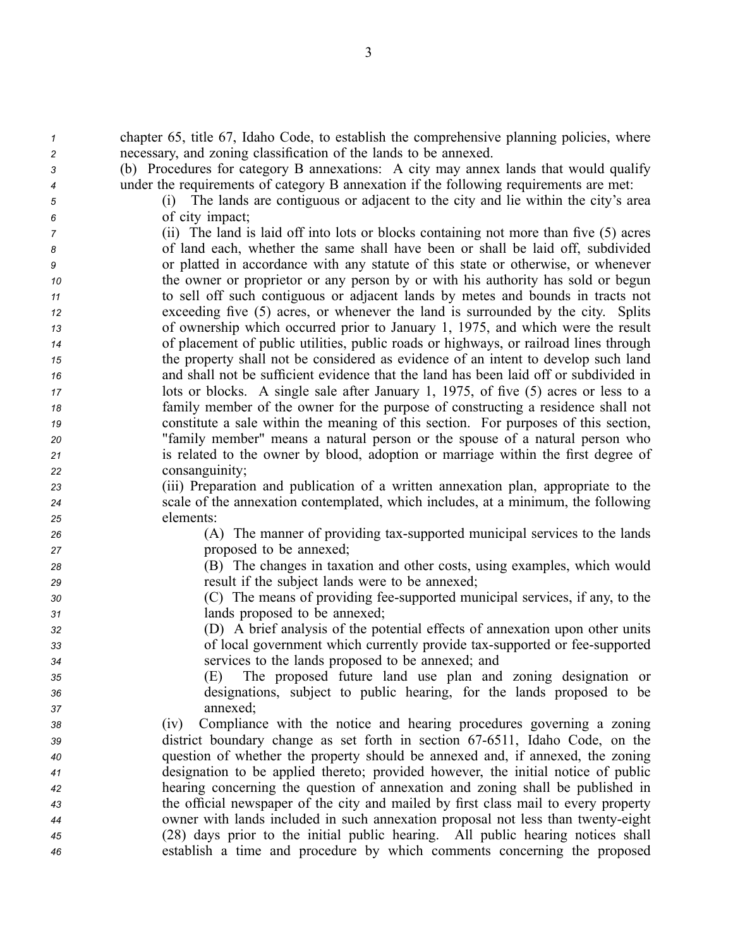| $\boldsymbol{\mathcal{1}}$ | chapter 65, title 67, Idaho Code, to establish the comprehensive planning policies, where |
|----------------------------|-------------------------------------------------------------------------------------------|
| $\overline{c}$             | necessary, and zoning classification of the lands to be annexed.                          |
| 3                          | (b) Procedures for category B annexations: A city may annex lands that would qualify      |
| 4                          | under the requirements of category B annexation if the following requirements are met:    |
| 5                          | The lands are contiguous or adjacent to the city and lie within the city's area<br>(i)    |
| 6                          | of city impact;                                                                           |
| 7                          | (ii) The land is laid off into lots or blocks containing not more than five (5) acres     |
| 8                          | of land each, whether the same shall have been or shall be laid off, subdivided           |
| 9                          | or platted in accordance with any statute of this state or otherwise, or whenever         |
| 10                         | the owner or proprietor or any person by or with his authority has sold or begun          |
| 11                         | to sell off such contiguous or adjacent lands by metes and bounds in tracts not           |
| 12                         | exceeding five (5) acres, or whenever the land is surrounded by the city. Splits          |
| 13                         | of ownership which occurred prior to January 1, 1975, and which were the result           |
| 14                         | of placement of public utilities, public roads or highways, or railroad lines through     |
| 15                         | the property shall not be considered as evidence of an intent to develop such land        |
| 16                         | and shall not be sufficient evidence that the land has been laid off or subdivided in     |
| 17                         | lots or blocks. A single sale after January 1, 1975, of five (5) acres or less to a       |
| 18                         | family member of the owner for the purpose of constructing a residence shall not          |
| 19                         | constitute a sale within the meaning of this section. For purposes of this section,       |
| 20                         | "family member" means a natural person or the spouse of a natural person who              |
| 21                         | is related to the owner by blood, adoption or marriage within the first degree of         |
| 22                         | consanguinity;                                                                            |
| 23                         | (iii) Preparation and publication of a written annexation plan, appropriate to the        |
| 24                         | scale of the annexation contemplated, which includes, at a minimum, the following         |
| 25                         | elements:                                                                                 |
| 26                         | (A) The manner of providing tax-supported municipal services to the lands                 |
| 27                         | proposed to be annexed;                                                                   |
| 28                         | (B) The changes in taxation and other costs, using examples, which would                  |
| 29                         | result if the subject lands were to be annexed;                                           |
| 30                         | (C) The means of providing fee-supported municipal services, if any, to the               |
| 31                         | lands proposed to be annexed;                                                             |
| 32                         | (D) A brief analysis of the potential effects of annexation upon other units              |
| 33                         | of local government which currently provide tax-supported or fee-supported                |
| 34                         | services to the lands proposed to be annexed; and                                         |
| 35                         | (E) The proposed future land use plan and zoning designation or                           |
| 36                         | designations, subject to public hearing, for the lands proposed to be                     |
| 37                         | annexed;                                                                                  |
| 38                         | Compliance with the notice and hearing procedures governing a zoning<br>(iv)              |
| 39                         | district boundary change as set forth in section 67-6511, Idaho Code, on the              |
| 40                         | question of whether the property should be annexed and, if annexed, the zoning            |
| 41                         | designation to be applied thereto; provided however, the initial notice of public         |
| 42                         | hearing concerning the question of annexation and zoning shall be published in            |
| 43                         | the official newspaper of the city and mailed by first class mail to every property       |
| 44                         | owner with lands included in such annexation proposal not less than twenty-eight          |
| 45                         | (28) days prior to the initial public hearing. All public hearing notices shall           |
| 46                         | establish a time and procedure by which comments concerning the proposed                  |

3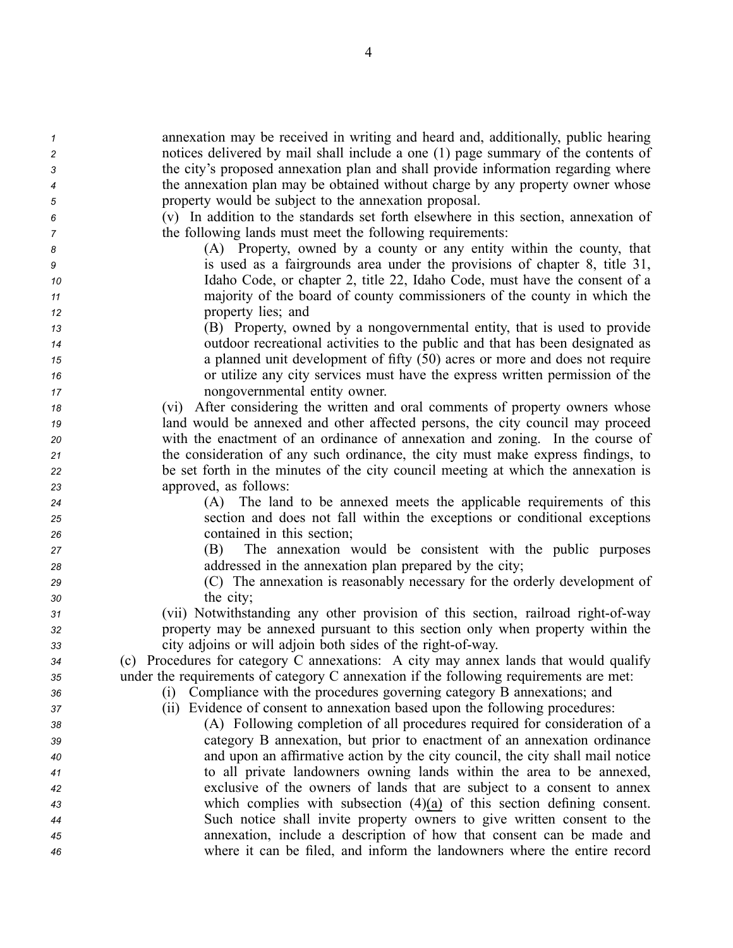annexation may be received in writing and heard and, additionally, public hearing notices delivered by mail shall include <sup>a</sup> one (1) page summary of the contents of the city's proposed annexation plan and shall provide information regarding where the annexation plan may be obtained without charge by any property owner whose property would be subject to the annexation proposal. (v) In addition to the standards set forth elsewhere in this section, annexation of the following lands must meet the following requirements: (A) Property, owned by <sup>a</sup> county or any entity within the county, that is used as <sup>a</sup> fairgrounds area under the provisions of chapter 8, title 31, Idaho Code, or chapter 2, title 22, Idaho Code, must have the consent of <sup>a</sup> majority of the board of county commissioners of the county in which the property lies; and (B) Property, owned by <sup>a</sup> nongovernmental entity, that is used to provide outdoor recreational activities to the public and that has been designated as <sup>a</sup> planned unit development of fifty (50) acres or more and does not require or utilize any city services must have the express written permission of the nongovernmental entity owner. (vi) After considering the written and oral comments of property owners whose land would be annexed and other affected persons, the city council may proceed with the enactment of an ordinance of annexation and zoning. In the course of the consideration of any such ordinance, the city must make express findings, to be set forth in the minutes of the city council meeting at which the annexation is approved, as follows: (A) The land to be annexed meets the applicable requirements of this section and does not fall within the exceptions or conditional exceptions contained in this section; (B) The annexation would be consistent with the public purposes addressed in the annexation plan prepared by the city; (C) The annexation is reasonably necessary for the orderly development of the city; (vii) Notwithstanding any other provision of this section, railroad right-of-way property may be annexed pursuan<sup>t</sup> to this section only when property within the city adjoins or will adjoin both sides of the right-of-way. (c) Procedures for category C annexations: A city may annex lands that would qualify under the requirements of category C annexation if the following requirements are met: (i) Compliance with the procedures governing category B annexations; and (ii) Evidence of consent to annexation based upon the following procedures: (A) Following completion of all procedures required for consideration of <sup>a</sup> category B annexation, but prior to enactment of an annexation ordinance and upon an affirmative action by the city council, the city shall mail notice to all private landowners owning lands within the area to be annexed, exclusive of the owners of lands that are subject to <sup>a</sup> consent to annex which complies with subsection (4)(a) of this section defining consent. Such notice shall invite property owners to give written consent to the annexation, include <sup>a</sup> description of how that consent can be made and where it can be filed, and inform the landowners where the entire record